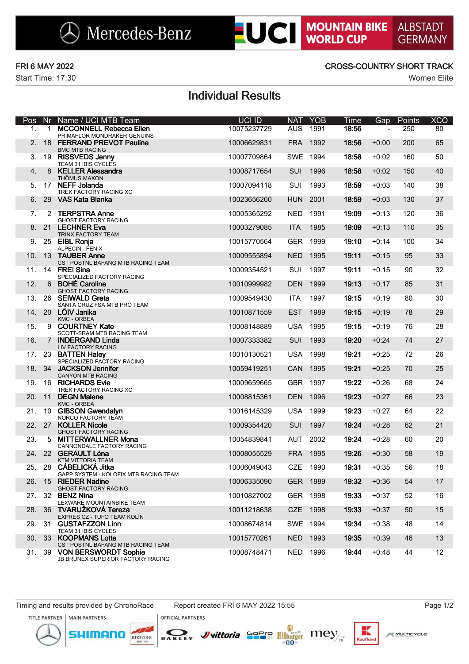$\bigotimes$  Mercedes-Benz

Start Time: 17:30 Women Elite

### FRI 6 MAY 2022 CROSS-COUNTRY SHORT TRACK

**LUCI MOUNTAIN BIKE** 

**ALBSTADT** 

**GERMANY** 

## Individual Results

| Pos    | Nr          | Name / UCI MTB Team                                           | <b>UCI ID</b> | <b>NAT</b> | <b>YOB</b> | <b>Time</b> | Gap     | Points | <b>XCO</b>      |
|--------|-------------|---------------------------------------------------------------|---------------|------------|------------|-------------|---------|--------|-----------------|
| 1.     | $\mathbf 1$ | <b>MCCONNELL Rebecca Ellen</b><br>PRIMAFLOR MONDRAKER GENUINS | 10075237729   | <b>AUS</b> | 1991       | 18:56       |         | 250    | 80              |
| 2.     |             | 18 FERRAND PREVOT Pauline<br><b>BMC MTB RACING</b>            | 10006629831   | <b>FRA</b> | 1992       | 18:56       | $+0:00$ | 200    | 65              |
| 3.     |             | 19 RISSVEDS Jenny<br>TEAM 31 IBIS CYCLES                      | 10007709864   | <b>SWE</b> | 1994       | 18:58       | $+0:02$ | 160    | 50              |
| 4.     | 8           | <b>KELLER Alessandra</b><br>THÖMUS MAXON                      | 10008717654   | SUI        | 1996       | 18:58       | $+0:02$ | 150    | 40              |
| 5.     |             | 17 NEFF Jolanda<br>TREK FACTORY RACING XC                     | 10007094118   | SUI        | 1993       | 18:59       | $+0:03$ | 140    | 38              |
| 6.     |             | 29 VAS Kata Blanka                                            | 10023656260   | <b>HUN</b> | 2001       | 18:59       | $+0:03$ | 130    | 37              |
| 7.     |             | 2 TERPSTRA Anne<br><b>GHOST FACTORY RACING</b>                | 10005365292   | <b>NED</b> | 1991       | 19:09       | $+0:13$ | 120    | 36              |
| 8.     |             | 21 LECHNER Eva<br>TRINX FACTORY TEAM                          | 10003279085   | <b>ITA</b> | 1985       | 19:09       | $+0:13$ | 110    | 35              |
| 9.     |             | 25 EIBL Ronja<br>ALPECIN - FENIX                              | 10015770564   | <b>GER</b> | 1999       | 19:10       | $+0:14$ | 100    | 34              |
| 10.    |             | 13 TAUBER Anne<br>CST POSTNL BAFANG MTB RACING TEAM           | 10009555894   | <b>NED</b> | 1995       | 19:11       | $+0:15$ | 95     | 33              |
| 11.    |             | 14 FREI Sina<br>SPECIALIZED FACTORY RACING                    | 10009354521   | SUI        | 1997       | 19:11       | $+0:15$ | 90     | 32              |
| 12.    |             | 6 BOHÉ Caroline<br><b>GHOST FACTORY RACING</b>                | 10010999982   | <b>DEN</b> | 1999       | 19:13       | $+0:17$ | 85     | 31              |
| 13.    |             | 26 SEIWALD Greta<br>SANTA CRUZ FSA MTB PRO TEAM               | 10009549430   | <b>ITA</b> | 1997       | 19:15       | $+0:19$ | 80     | 30              |
| 14.    |             | 20 LÕIV Janika<br><b>KMC - ORBEA</b>                          | 10010871559   | <b>EST</b> | 1989       | 19:15       | $+0:19$ | 78     | 29              |
| 15.    |             | 9 COURTNEY Kate<br>SCOTT-SRAM MTB RACING TEAM                 | 10008148889   | <b>USA</b> | 1995       | 19:15       | $+0:19$ | 76     | 28              |
| 16.    | $7^{\circ}$ | <b>INDERGAND Linda</b><br>LIV FACTORY RACING                  | 10007333382   | SUI        | 1993       | 19:20       | $+0:24$ | 74     | 27              |
| 17.    |             | 23 BATTEN Haley<br>SPECIALIZED FACTORY RACING                 | 10010130521   | <b>USA</b> | 1998       | 19:21       | $+0:25$ | 72     | 26              |
| 18.    |             | 34 JACKSON Jennifer<br><b>CANYON MTB RACING</b>               | 10059419251   | <b>CAN</b> | 1995       | 19:21       | $+0:25$ | 70     | 25              |
| 19.    |             | 16 RICHARDS Evie<br>TREK FACTORY RACING XC                    | 10009659665   | <b>GBR</b> | 1997       | 19:22       | $+0:26$ | 68     | 24              |
| 20.    | 11          | <b>DEGN Malene</b><br><b>KMC - ORBEA</b>                      | 10008815361   | <b>DEN</b> | 1996       | 19:23       | $+0:27$ | 66     | 23              |
| 21.    |             | 10 GIBSON Gwendalyn<br>NORCO FACTORY TEAM                     | 10016145329   | <b>USA</b> | 1999       | 19:23       | $+0:27$ | 64     | 22              |
|        | 22. 27      | <b>KOLLER Nicole</b><br><b>GHOST FACTORY RACING</b>           | 10009354420   | SUI        | 1997       | 19:24       | $+0:28$ | 62     | 21              |
| 23.    | 5           | <b>MITTERWALLNER Mona</b><br>CANNONDALE FACTORY RACING        | 10054839841   | <b>AUT</b> | 2002       | 19:24       | $+0:28$ | 60     | 20              |
| 24.    |             | 22 GERAULT Léna<br><b>KTM VITTORIA TEAM</b>                   | 10008055529   | <b>FRA</b> | 1995       | 19:26       | $+0:30$ | 58     | 19              |
| 25.    |             | 28 CÁBELICKÁ Jitka<br>GAPP SYSTEM - KOLOFIX MTB RACING TEAM   | 10006049043   | <b>CZE</b> | 1990       | 19:31       | $+0:35$ | 56     | 18              |
| 26.    | 15          | <b>RIEDER Nadine</b><br><b>GHOST FACTORY RACING</b>           | 10006335090   |            | GER 1989   | 19:32       | $+0:36$ | 54     | 17              |
|        | 27. 32      | <b>BENZ Nina</b><br>LEXWARE MOUNTAINBIKE TEAM                 | 10010827002   |            | GER 1998   | 19:33       | $+0:37$ | 52     | 16              |
| 28.    | 36          | <b>TVARUŽKOVÁ Tereza</b><br>EXPRES CZ - TUFO TEAM KOLÍN       | 10011218638   |            | CZE 1998   | 19:33       | $+0:37$ | 50     | 15              |
| 29. 31 |             | <b>GUSTAFZZON Linn</b><br>TEAM 31 IBIS CYCLES                 | 10008674814   | SWE 1994   |            | 19:34       | $+0:38$ | 48     | 14              |
| 30.    | 33          | <b>KOOPMANS Lotte</b><br>CST POSTNL BAFANG MTB RACING TEAM    | 10015770261   | <b>NED</b> | 1993       | 19:35       | $+0:39$ | 46     | 13              |
| 31.    |             | 39 VON BERSWORDT Sophie<br>JB BRUNEX SUPERIOR FACTORY RACING  | 10008748471   |            | NED 1996   | 19:44       | $+0:48$ | 44     | 12 <sup>2</sup> |

mor